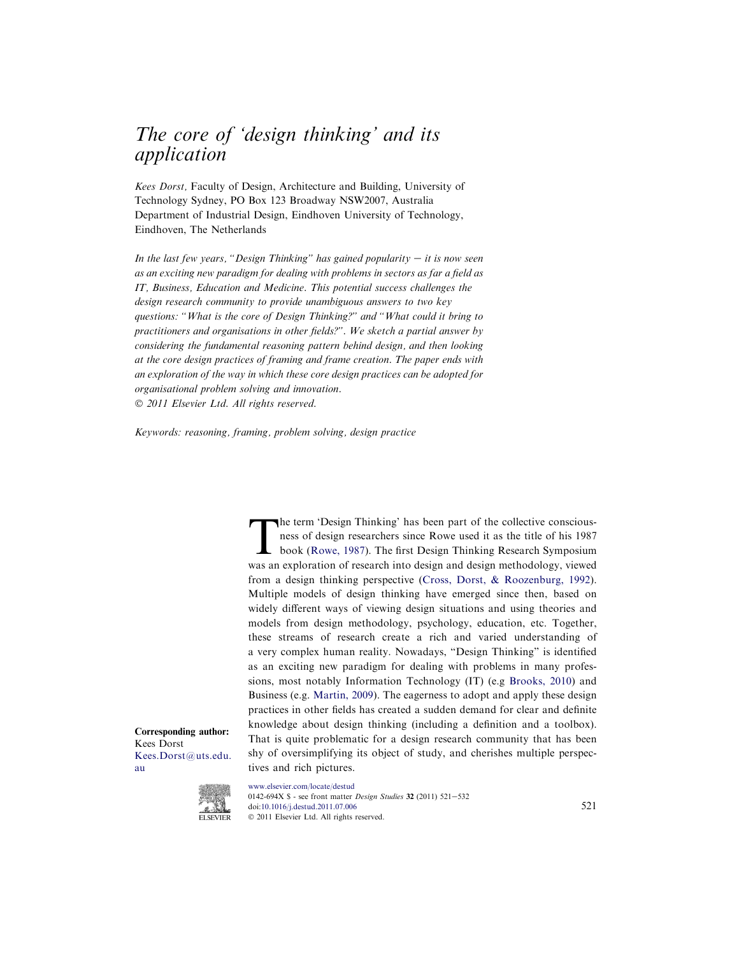# The core of 'design thinking' and its application

Kees Dorst, Faculty of Design, Architecture and Building, University of Technology Sydney, PO Box 123 Broadway NSW2007, Australia Department of Industrial Design, Eindhoven University of Technology, Eindhoven, The Netherlands

In the last few years, "Design Thinking" has gained popularity  $-$  it is now seen as an exciting new paradigm for dealing with problems in sectors as far a field as IT, Business, Education and Medicine. This potential success challenges the design research community to provide unambiguous answers to two key questions: "What is the core of Design Thinking?" and "What could it bring to practitioners and organisations in other fields?". We sketch a partial answer by considering the fundamental reasoning pattern behind design, and then looking at the core design practices of framing and frame creation. The paper ends with an exploration of the way in which these core design practices can be adopted for organisational problem solving and innovation.  $© 2011 Elsevier Ltd. All rights reserved.$ 

Keywords: reasoning, framing, problem solving, design practice

The term 'Design Thinking' has been part of the collective conscious-<br>ness of design researchers since Rowe used it as the title of his 1987<br>book (Rowe, 1987). The first Design Thinking Research Symposium ness of design researchers since Rowe used it as the title of his 1987 book (Rowe, 1987). The first Design Thinking Research Symposium was an exploration of research into design and design methodology, viewed from a design thinking perspective (Cross, Dorst, & Roozenburg, 1992). Multiple models of design thinking have emerged since then, based on widely different ways of viewing design situations and using theories and models from design methodology, psychology, education, etc. Together, these streams of research create a rich and varied understanding of a very complex human reality. Nowadays, "Design Thinking" is identified as an exciting new paradigm for dealing with problems in many professions, most notably Information Technology (IT) (e.g Brooks, 2010) and Business (e.g. Martin, 2009). The eagerness to adopt and apply these design practices in other fields has created a sudden demand for clear and definite knowledge about design thinking (including a definition and a toolbox). That is quite problematic for a design research community that has been shy of oversimplifying its object of study, and cherishes multiple perspectives and rich pictures.

**ELSEVIER** 

Corresponding author:

[Kees.Dorst@uts.edu.](mailto:Kees.Dorst@uts.edu.au)

Kees Dorst

[au](mailto:Kees.Dorst@uts.edu.au)

[www.elsevier.com/locate/destud](http://www.elsevier.com/locate/destud) 0142-694X  $\frac{1}{2}$  - see front matter *Design Studies* 32 (2011) 521-532 doi[:10.1016/j.destud.2011.07.006](http://dx.doi.org/10.1016/j.destud.2011.07.006) 521  $© 2011 Elsevier Ltd. All rights reserved.$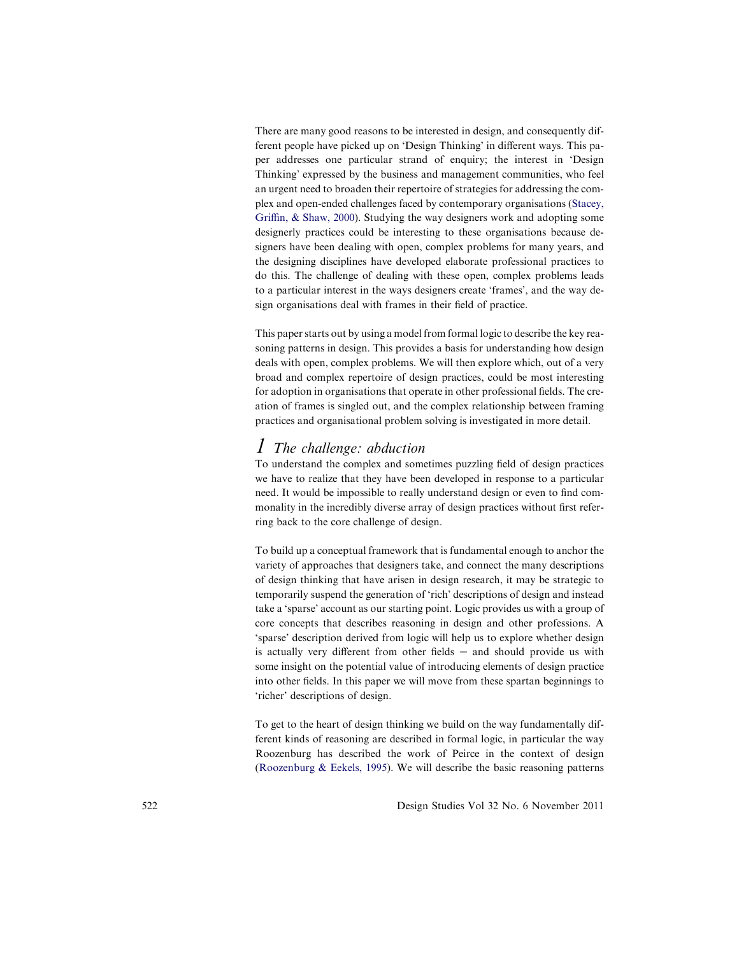There are many good reasons to be interested in design, and consequently different people have picked up on 'Design Thinking' in different ways. This paper addresses one particular strand of enquiry; the interest in 'Design Thinking' expressed by the business and management communities, who feel an urgent need to broaden their repertoire of strategies for addressing the complex and open-ended challenges faced by contemporary organisations (Stacey, Griffin, & Shaw, 2000). Studying the way designers work and adopting some designerly practices could be interesting to these organisations because designers have been dealing with open, complex problems for many years, and the designing disciplines have developed elaborate professional practices to do this. The challenge of dealing with these open, complex problems leads to a particular interest in the ways designers create 'frames', and the way design organisations deal with frames in their field of practice.

This paper starts out by using a model from formal logic to describe the key reasoning patterns in design. This provides a basis for understanding how design deals with open, complex problems. We will then explore which, out of a very broad and complex repertoire of design practices, could be most interesting for adoption in organisations that operate in other professional fields. The creation of frames is singled out, and the complex relationship between framing practices and organisational problem solving is investigated in more detail.

## 1 The challenge: abduction

To understand the complex and sometimes puzzling field of design practices we have to realize that they have been developed in response to a particular need. It would be impossible to really understand design or even to find commonality in the incredibly diverse array of design practices without first referring back to the core challenge of design.

To build up a conceptual framework that is fundamental enough to anchor the variety of approaches that designers take, and connect the many descriptions of design thinking that have arisen in design research, it may be strategic to temporarily suspend the generation of 'rich' descriptions of design and instead take a 'sparse' account as our starting point. Logic provides us with a group of core concepts that describes reasoning in design and other professions. A 'sparse' description derived from logic will help us to explore whether design is actually very different from other fields  $-$  and should provide us with some insight on the potential value of introducing elements of design practice into other fields. In this paper we will move from these spartan beginnings to 'richer' descriptions of design.

To get to the heart of design thinking we build on the way fundamentally different kinds of reasoning are described in formal logic, in particular the way Roozenburg has described the work of Peirce in the context of design (Roozenburg & Eekels, 1995). We will describe the basic reasoning patterns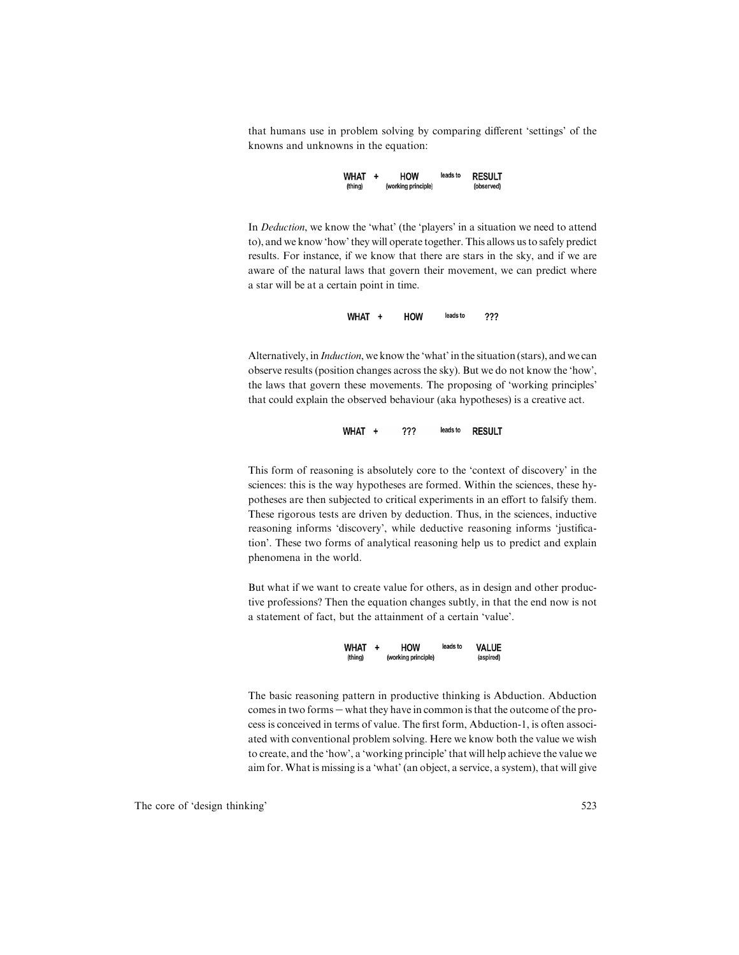that humans use in problem solving by comparing different 'settings' of the knowns and unknowns in the equation:

| WHAT    | <b>HOW</b>          | leads to | Result     |
|---------|---------------------|----------|------------|
| (thing) | (working principle) |          | (observed) |

In Deduction, we know the 'what' (the 'players' in a situation we need to attend to), and we know 'how' they will operate together. This allows us to safely predict results. For instance, if we know that there are stars in the sky, and if we are aware of the natural laws that govern their movement, we can predict where a star will be at a certain point in time.

> WHAT + HOW leads to ???

Alternatively, in Induction, we know the 'what' in the situation (stars), and we can observe results (position changes across the sky). But we do not know the 'how', the laws that govern these movements. The proposing of 'working principles' that could explain the observed behaviour (aka hypotheses) is a creative act.

> $77?$ leads to **RESULT** WHAT +

This form of reasoning is absolutely core to the 'context of discovery' in the sciences: this is the way hypotheses are formed. Within the sciences, these hypotheses are then subjected to critical experiments in an effort to falsify them. These rigorous tests are driven by deduction. Thus, in the sciences, inductive reasoning informs 'discovery', while deductive reasoning informs 'justification'. These two forms of analytical reasoning help us to predict and explain phenomena in the world.

But what if we want to create value for others, as in design and other productive professions? Then the equation changes subtly, in that the end now is not a statement of fact, but the attainment of a certain 'value'.

> WHAT + **HOW** leads to **VALUE** (working principle) (thing) (aspired)

The basic reasoning pattern in productive thinking is Abduction. Abduction comes in two forms – what they have in common is that the outcome of the process is conceived in terms of value. The first form, Abduction-1, is often associated with conventional problem solving. Here we know both the value we wish to create, and the 'how', a 'working principle' that will help achieve the value we aim for. What is missing is a 'what' (an object, a service, a system), that will give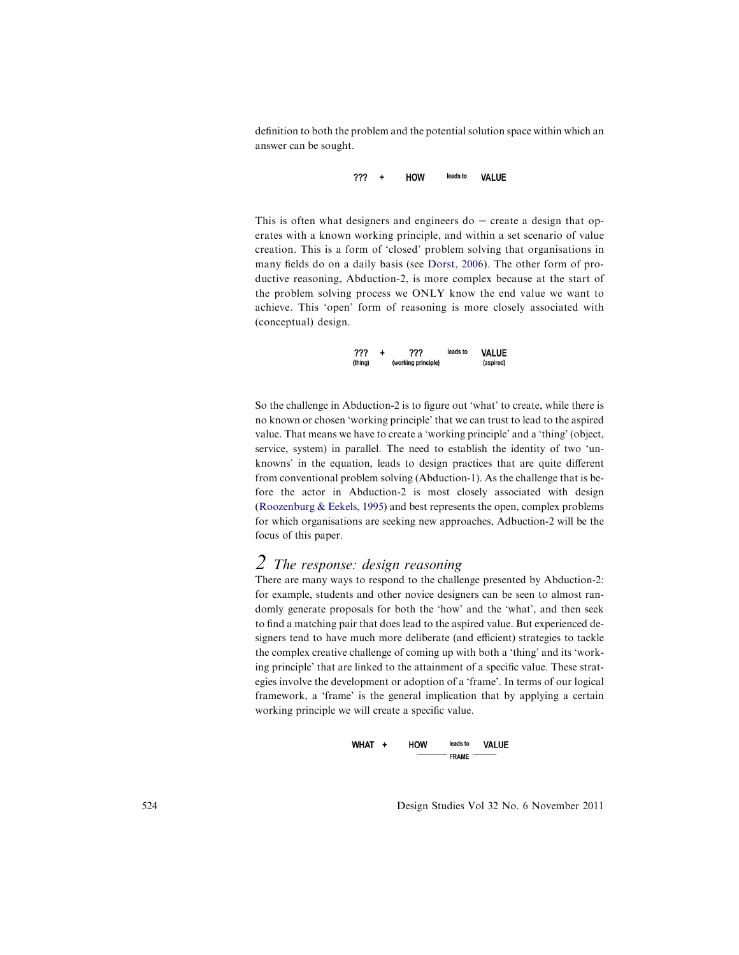definition to both the problem and the potential solution space within which an answer can be sought.

> ??? HOW leads to **VALUE**  $\overline{1}$

This is often what designers and engineers do  $-$  create a design that operates with a known working principle, and within a set scenario of value creation. This is a form of 'closed' problem solving that organisations in many fields do on a daily basis (see Dorst, 2006). The other form of productive reasoning, Abduction-2, is more complex because at the start of the problem solving process we ONLY know the end value we want to achieve. This 'open' form of reasoning is more closely associated with (conceptual) design.

> leads to ??? ??? **VALUE** (thing) (working principle) (aspired)

So the challenge in Abduction-2 is to figure out 'what' to create, while there is no known or chosen 'working principle' that we can trust to lead to the aspired value. That means we have to create a 'working principle' and a 'thing' (object, service, system) in parallel. The need to establish the identity of two 'unknowns' in the equation, leads to design practices that are quite different from conventional problem solving (Abduction-1). As the challenge that is before the actor in Abduction-2 is most closely associated with design (Roozenburg & Eekels, 1995) and best represents the open, complex problems for which organisations are seeking new approaches, Adbuction-2 will be the focus of this paper.

# 2 The response: design reasoning

There are many ways to respond to the challenge presented by Abduction-2: for example, students and other novice designers can be seen to almost randomly generate proposals for both the 'how' and the 'what', and then seek to find a matching pair that does lead to the aspired value. But experienced designers tend to have much more deliberate (and efficient) strategies to tackle the complex creative challenge of coming up with both a 'thing' and its 'working principle' that are linked to the attainment of a specific value. These strategies involve the development or adoption of a 'frame'. In terms of our logical framework, a 'frame' is the general implication that by applying a certain working principle we will create a specific value.

> WHAT + HOW leads to **VALUE FRAME**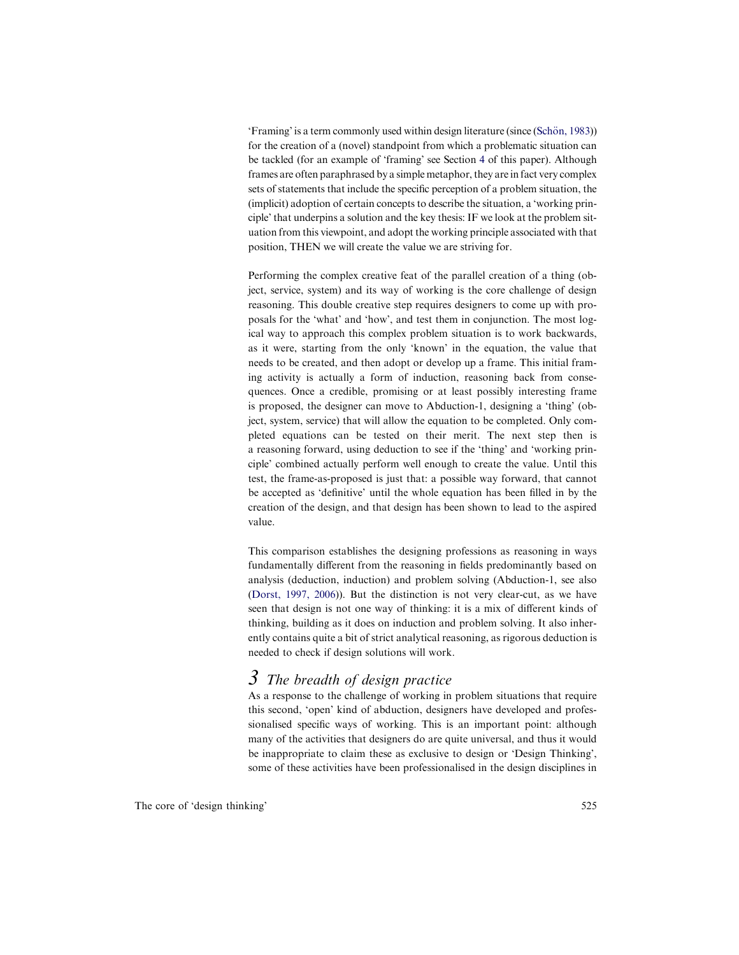'Framing' is a term commonly used within design literature (since (Schön, 1983)) for the creation of a (novel) standpoint from which a problematic situation can be tackled (for an example of 'framing' see Section 4 of this paper). Although frames are often paraphrased by a simple metaphor, they are in fact very complex sets of statements that include the specific perception of a problem situation, the (implicit) adoption of certain concepts to describe the situation, a 'working principle' that underpins a solution and the key thesis: IF we look at the problem situation from this viewpoint, and adopt the working principle associated with that position, THEN we will create the value we are striving for.

Performing the complex creative feat of the parallel creation of a thing (object, service, system) and its way of working is the core challenge of design reasoning. This double creative step requires designers to come up with proposals for the 'what' and 'how', and test them in conjunction. The most logical way to approach this complex problem situation is to work backwards, as it were, starting from the only 'known' in the equation, the value that needs to be created, and then adopt or develop up a frame. This initial framing activity is actually a form of induction, reasoning back from consequences. Once a credible, promising or at least possibly interesting frame is proposed, the designer can move to Abduction-1, designing a 'thing' (object, system, service) that will allow the equation to be completed. Only completed equations can be tested on their merit. The next step then is a reasoning forward, using deduction to see if the 'thing' and 'working principle' combined actually perform well enough to create the value. Until this test, the frame-as-proposed is just that: a possible way forward, that cannot be accepted as 'definitive' until the whole equation has been filled in by the creation of the design, and that design has been shown to lead to the aspired value.

This comparison establishes the designing professions as reasoning in ways fundamentally different from the reasoning in fields predominantly based on analysis (deduction, induction) and problem solving (Abduction-1, see also (Dorst, 1997, 2006)). But the distinction is not very clear-cut, as we have seen that design is not one way of thinking: it is a mix of different kinds of thinking, building as it does on induction and problem solving. It also inherently contains quite a bit of strict analytical reasoning, as rigorous deduction is needed to check if design solutions will work.

# 3 The breadth of design practice

As a response to the challenge of working in problem situations that require this second, 'open' kind of abduction, designers have developed and professionalised specific ways of working. This is an important point: although many of the activities that designers do are quite universal, and thus it would be inappropriate to claim these as exclusive to design or 'Design Thinking', some of these activities have been professionalised in the design disciplines in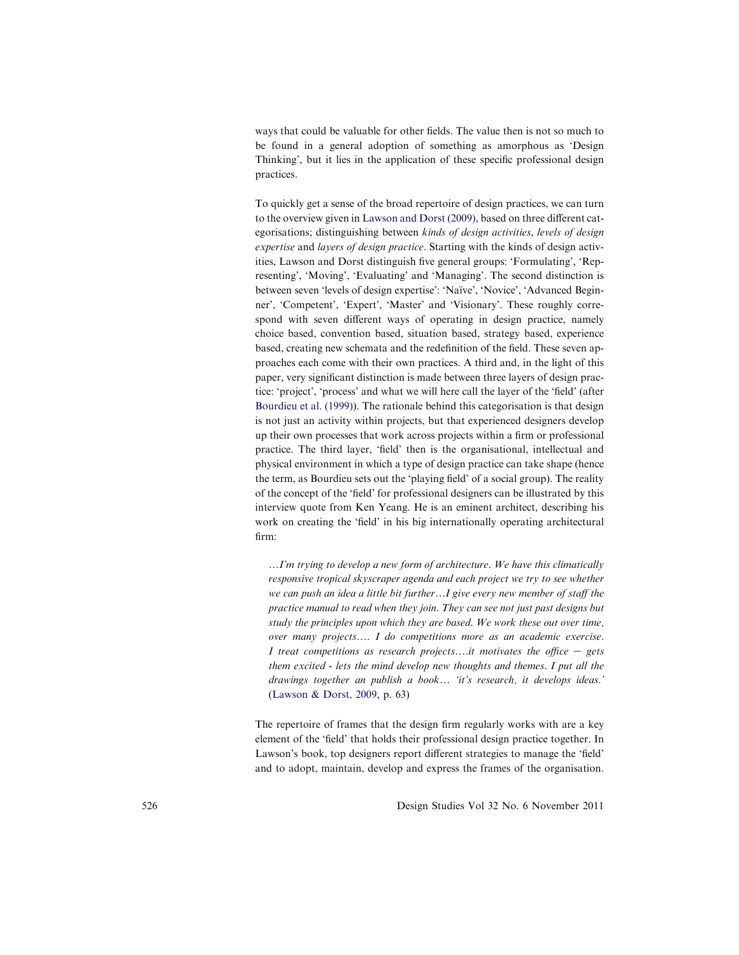ways that could be valuable for other fields. The value then is not so much to be found in a general adoption of something as amorphous as 'Design Thinking', but it lies in the application of these specific professional design practices.

To quickly get a sense of the broad repertoire of design practices, we can turn to the overview given in Lawson and Dorst (2009), based on three different categorisations; distinguishing between kinds of design activities, levels of design expertise and *layers of design practice*. Starting with the kinds of design activities, Lawson and Dorst distinguish five general groups: 'Formulating', 'Representing', 'Moving', 'Evaluating' and 'Managing'. The second distinction is between seven 'levels of design expertise': 'Naïve', 'Novice', 'Advanced Beginner', 'Competent', 'Expert', 'Master' and 'Visionary'. These roughly correspond with seven different ways of operating in design practice, namely choice based, convention based, situation based, strategy based, experience based, creating new schemata and the redefinition of the field. These seven approaches each come with their own practices. A third and, in the light of this paper, very significant distinction is made between three layers of design practice: 'project', 'process' and what we will here call the layer of the 'field' (after Bourdieu et al. (1999)). The rationale behind this categorisation is that design is not just an activity within projects, but that experienced designers develop up their own processes that work across projects within a firm or professional practice. The third layer, 'field' then is the organisational, intellectual and physical environment in which a type of design practice can take shape (hence the term, as Bourdieu sets out the 'playing field' of a social group). The reality of the concept of the 'field' for professional designers can be illustrated by this interview quote from Ken Yeang. He is an eminent architect, describing his work on creating the 'field' in his big internationally operating architectural firm:

.I'm trying to develop a new form of architecture. We have this climatically responsive tropical skyscraper agenda and each project we try to see whether we can push an idea a little bit further...I give every new member of staff the practice manual to read when they join. They can see not just past designs but study the principles upon which they are based. We work these out over time, over many projects.. I do competitions more as an academic exercise. I treat competitions as research projects....it motivates the office  $-$  gets them excited - lets the mind develop new thoughts and themes. I put all the drawings together an publish a book... 'it's research, it develops ideas.' (Lawson & Dorst, 2009, p. 63)

The repertoire of frames that the design firm regularly works with are a key element of the 'field' that holds their professional design practice together. In Lawson's book, top designers report different strategies to manage the 'field' and to adopt, maintain, develop and express the frames of the organisation.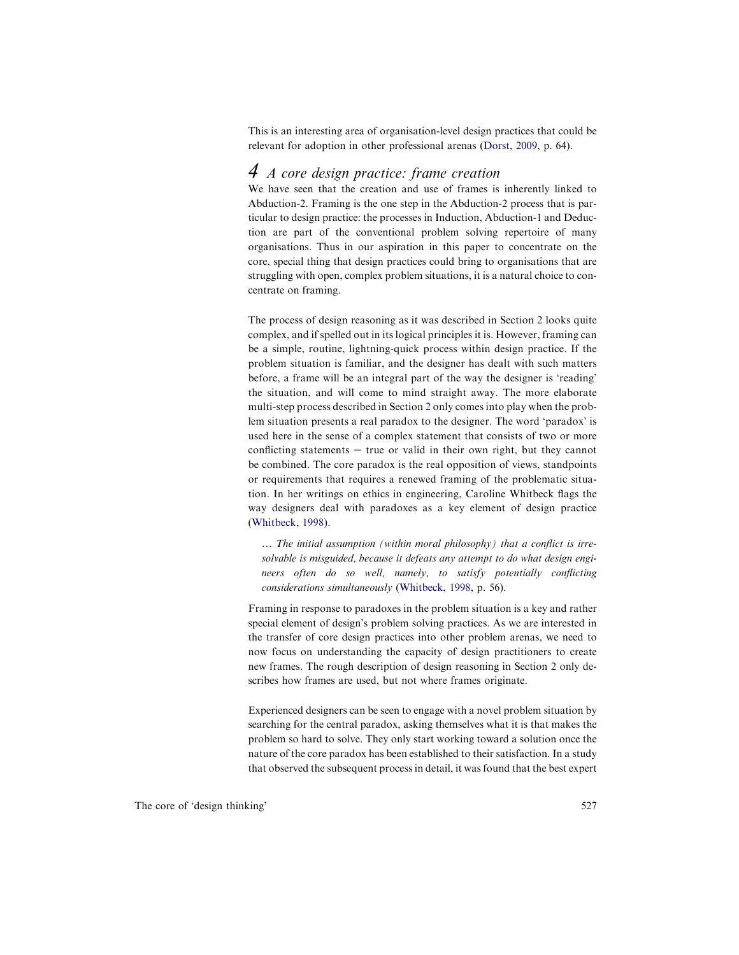This is an interesting area of organisation-level design practices that could be relevant for adoption in other professional arenas (Dorst, 2009, p. 64).

### 4 A core design practice: frame creation

We have seen that the creation and use of frames is inherently linked to Abduction-2. Framing is the one step in the Abduction-2 process that is particular to design practice: the processes in Induction, Abduction-1 and Deduction are part of the conventional problem solving repertoire of many organisations. Thus in our aspiration in this paper to concentrate on the core, special thing that design practices could bring to organisations that are struggling with open, complex problem situations, it is a natural choice to concentrate on framing.

The process of design reasoning as it was described in Section 2 looks quite complex, and if spelled out in its logical principles it is. However, framing can be a simple, routine, lightning-quick process within design practice. If the problem situation is familiar, and the designer has dealt with such matters before, a frame will be an integral part of the way the designer is 'reading' the situation, and will come to mind straight away. The more elaborate multi-step process described in Section 2 only comes into play when the problem situation presents a real paradox to the designer. The word 'paradox' is used here in the sense of a complex statement that consists of two or more conflicting statements  $-$  true or valid in their own right, but they cannot be combined. The core paradox is the real opposition of views, standpoints or requirements that requires a renewed framing of the problematic situation. In her writings on ethics in engineering, Caroline Whitbeck flags the way designers deal with paradoxes as a key element of design practice (Whitbeck, 1998).

 $\ldots$  The initial assumption (within moral philosophy) that a conflict is irresolvable is misguided, because it defeats any attempt to do what design engineers often do so well, namely, to satisfy potentially conflicting considerations simultaneously (Whitbeck, 1998, p. 56).

Framing in response to paradoxes in the problem situation is a key and rather special element of design's problem solving practices. As we are interested in the transfer of core design practices into other problem arenas, we need to now focus on understanding the capacity of design practitioners to create new frames. The rough description of design reasoning in Section 2 only describes how frames are used, but not where frames originate.

Experienced designers can be seen to engage with a novel problem situation by searching for the central paradox, asking themselves what it is that makes the problem so hard to solve. They only start working toward a solution once the nature of the core paradox has been established to their satisfaction. In a study that observed the subsequent process in detail, it was found that the best expert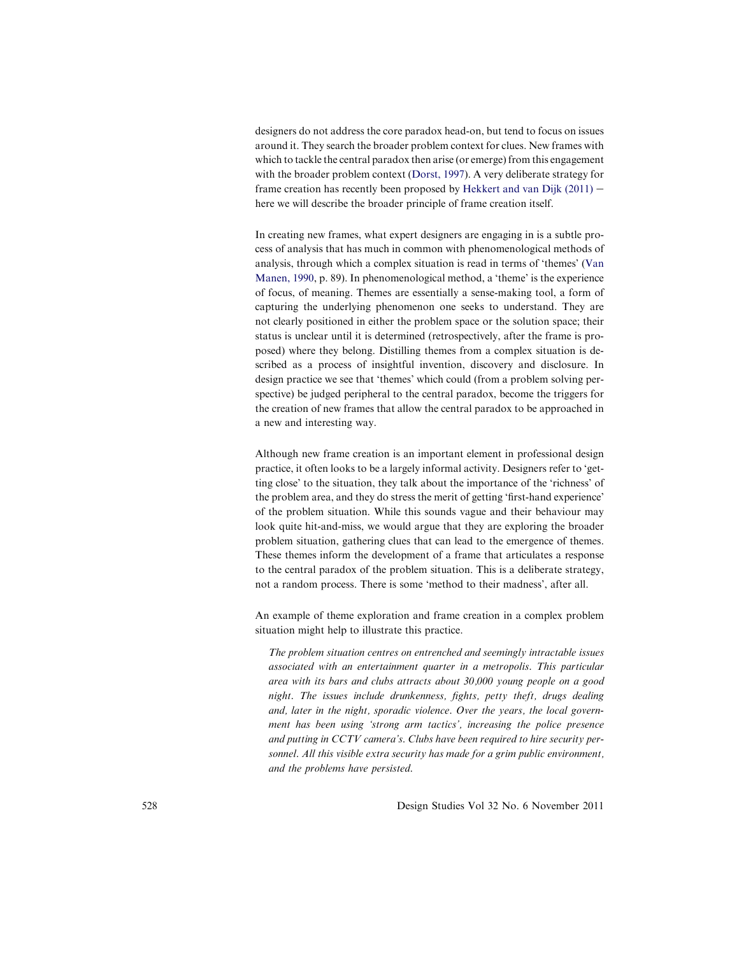designers do not address the core paradox head-on, but tend to focus on issues around it. They search the broader problem context for clues. New frames with which to tackle the central paradox then arise (or emerge) from this engagement with the broader problem context (Dorst, 1997). A very deliberate strategy for frame creation has recently been proposed by Hekkert and van Dijk (2011)  $$ here we will describe the broader principle of frame creation itself.

In creating new frames, what expert designers are engaging in is a subtle process of analysis that has much in common with phenomenological methods of analysis, through which a complex situation is read in terms of 'themes' (Van Manen, 1990, p. 89). In phenomenological method, a 'theme' is the experience of focus, of meaning. Themes are essentially a sense-making tool, a form of capturing the underlying phenomenon one seeks to understand. They are not clearly positioned in either the problem space or the solution space; their status is unclear until it is determined (retrospectively, after the frame is proposed) where they belong. Distilling themes from a complex situation is described as a process of insightful invention, discovery and disclosure. In design practice we see that 'themes' which could (from a problem solving perspective) be judged peripheral to the central paradox, become the triggers for the creation of new frames that allow the central paradox to be approached in a new and interesting way.

Although new frame creation is an important element in professional design practice, it often looks to be a largely informal activity. Designers refer to 'getting close' to the situation, they talk about the importance of the 'richness' of the problem area, and they do stress the merit of getting 'first-hand experience' of the problem situation. While this sounds vague and their behaviour may look quite hit-and-miss, we would argue that they are exploring the broader problem situation, gathering clues that can lead to the emergence of themes. These themes inform the development of a frame that articulates a response to the central paradox of the problem situation. This is a deliberate strategy, not a random process. There is some 'method to their madness', after all.

An example of theme exploration and frame creation in a complex problem situation might help to illustrate this practice.

The problem situation centres on entrenched and seemingly intractable issues associated with an entertainment quarter in a metropolis. This particular area with its bars and clubs attracts about 30,000 young people on a good night. The issues include drunkenness, fights, petty theft, drugs dealing and, later in the night, sporadic violence. Over the years, the local government has been using 'strong arm tactics', increasing the police presence and putting in CCTV camera's. Clubs have been required to hire security personnel. All this visible extra security has made for a grim public environment, and the problems have persisted.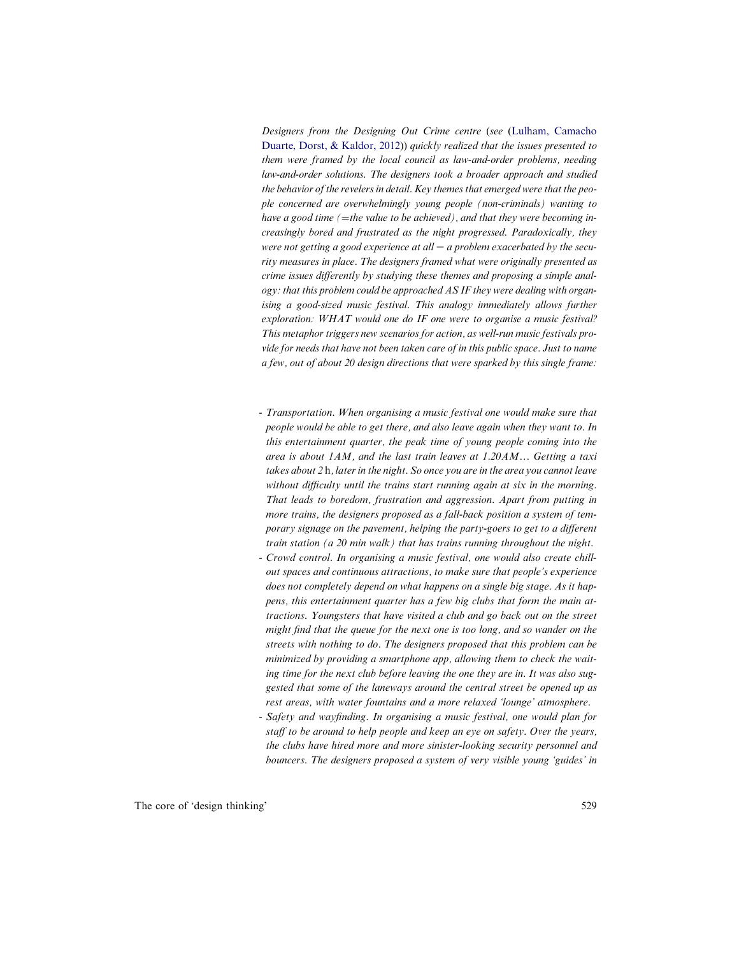Designers from the Designing Out Crime centre (see (Lulham, Camacho Duarte, Dorst, & Kaldor, 2012)) quickly realized that the issues presented to them were framed by the local council as law-and-order problems, needing law-and-order solutions. The designers took a broader approach and studied the behavior of the revelers in detail. Key themes that emerged were that the people concerned are overwhelmingly young people (non-criminals) wanting to have a good time  $(=$ the value to be achieved), and that they were becoming increasingly bored and frustrated as the night progressed. Paradoxically, they were not getting a good experience at all  $-$  a problem exacerbated by the security measures in place. The designers framed what were originally presented as crime issues differently by studying these themes and proposing a simple analogy: that this problem could be approached AS IF they were dealing with organising a good-sized music festival. This analogy immediately allows further exploration: WHAT would one do IF one were to organise a music festival? This metaphor triggers new scenarios for action, as well-run music festivals provide for needs that have not been taken care of in this public space. Just to name a few, out of about 20 design directions that were sparked by this single frame:

- Transportation. When organising a music festival one would make sure that people would be able to get there, and also leave again when they want to. In this entertainment quarter, the peak time of young people coming into the area is about  $1AM$ , and the last train leaves at  $1.20AM...$  Getting a taxi takes about 2 h, later in the night. So once you are in the area you cannot leave without difficulty until the trains start running again at six in the morning. That leads to boredom, frustration and aggression. Apart from putting in more trains, the designers proposed as a fall-back position a system of temporary signage on the pavement, helping the party-goers to get to a different train station (a 20 min walk) that has trains running throughout the night.
- Crowd control. In organising a music festival, one would also create chillout spaces and continuous attractions, to make sure that people's experience does not completely depend on what happens on a single big stage. As it happens, this entertainment quarter has a few big clubs that form the main attractions. Youngsters that have visited a club and go back out on the street might find that the queue for the next one is too long, and so wander on the streets with nothing to do. The designers proposed that this problem can be minimized by providing a smartphone app, allowing them to check the waiting time for the next club before leaving the one they are in. It was also suggested that some of the laneways around the central street be opened up as rest areas, with water fountains and a more relaxed 'lounge' atmosphere.
- Safety and wayfinding. In organising a music festival, one would plan for staff to be around to help people and keep an eye on safety. Over the years, the clubs have hired more and more sinister-looking security personnel and bouncers. The designers proposed a system of very visible young 'guides' in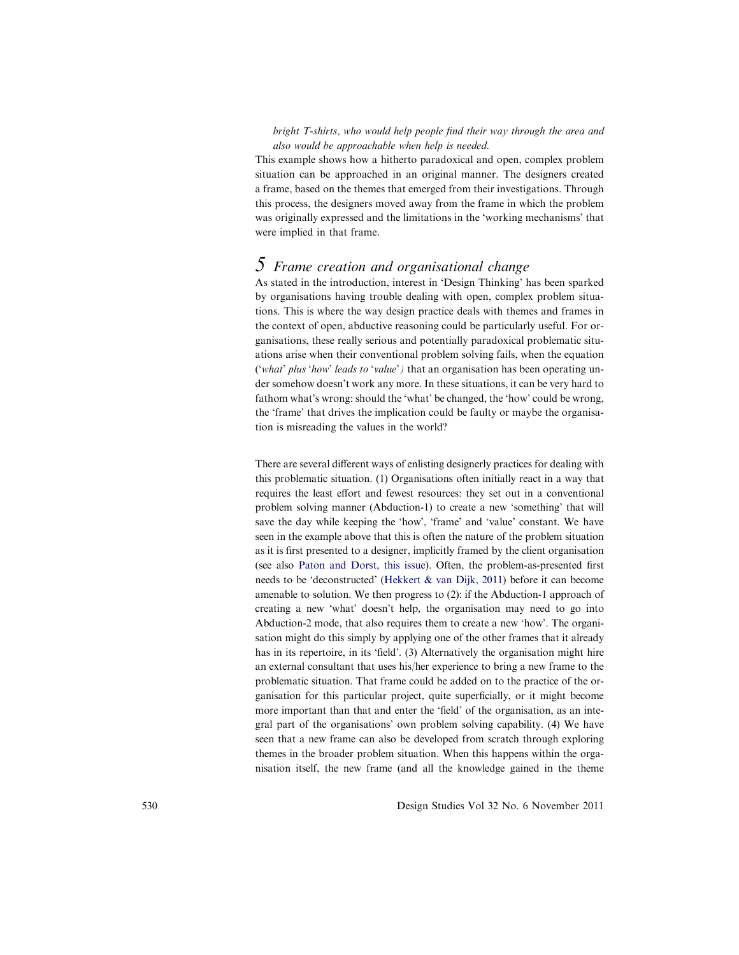#### bright T-shirts, who would help people find their way through the area and also would be approachable when help is needed.

This example shows how a hitherto paradoxical and open, complex problem situation can be approached in an original manner. The designers created a frame, based on the themes that emerged from their investigations. Through this process, the designers moved away from the frame in which the problem was originally expressed and the limitations in the 'working mechanisms' that were implied in that frame.

## 5 Frame creation and organisational change

As stated in the introduction, interest in 'Design Thinking' has been sparked by organisations having trouble dealing with open, complex problem situations. This is where the way design practice deals with themes and frames in the context of open, abductive reasoning could be particularly useful. For organisations, these really serious and potentially paradoxical problematic situations arise when their conventional problem solving fails, when the equation ('what' plus 'how' leads to 'value') that an organisation has been operating under somehow doesn't work any more. In these situations, it can be very hard to fathom what's wrong: should the 'what' be changed, the 'how' could be wrong, the 'frame' that drives the implication could be faulty or maybe the organisation is misreading the values in the world?

There are several different ways of enlisting designerly practices for dealing with this problematic situation. (1) Organisations often initially react in a way that requires the least effort and fewest resources: they set out in a conventional problem solving manner (Abduction-1) to create a new 'something' that will save the day while keeping the 'how', 'frame' and 'value' constant. We have seen in the example above that this is often the nature of the problem situation as it is first presented to a designer, implicitly framed by the client organisation (see also Paton and Dorst, this issue). Often, the problem-as-presented first needs to be 'deconstructed' (Hekkert & van Dijk, 2011) before it can become amenable to solution. We then progress to (2): if the Abduction-1 approach of creating a new 'what' doesn't help, the organisation may need to go into Abduction-2 mode, that also requires them to create a new 'how'. The organisation might do this simply by applying one of the other frames that it already has in its repertoire, in its 'field'. (3) Alternatively the organisation might hire an external consultant that uses his/her experience to bring a new frame to the problematic situation. That frame could be added on to the practice of the organisation for this particular project, quite superficially, or it might become more important than that and enter the 'field' of the organisation, as an integral part of the organisations' own problem solving capability. (4) We have seen that a new frame can also be developed from scratch through exploring themes in the broader problem situation. When this happens within the organisation itself, the new frame (and all the knowledge gained in the theme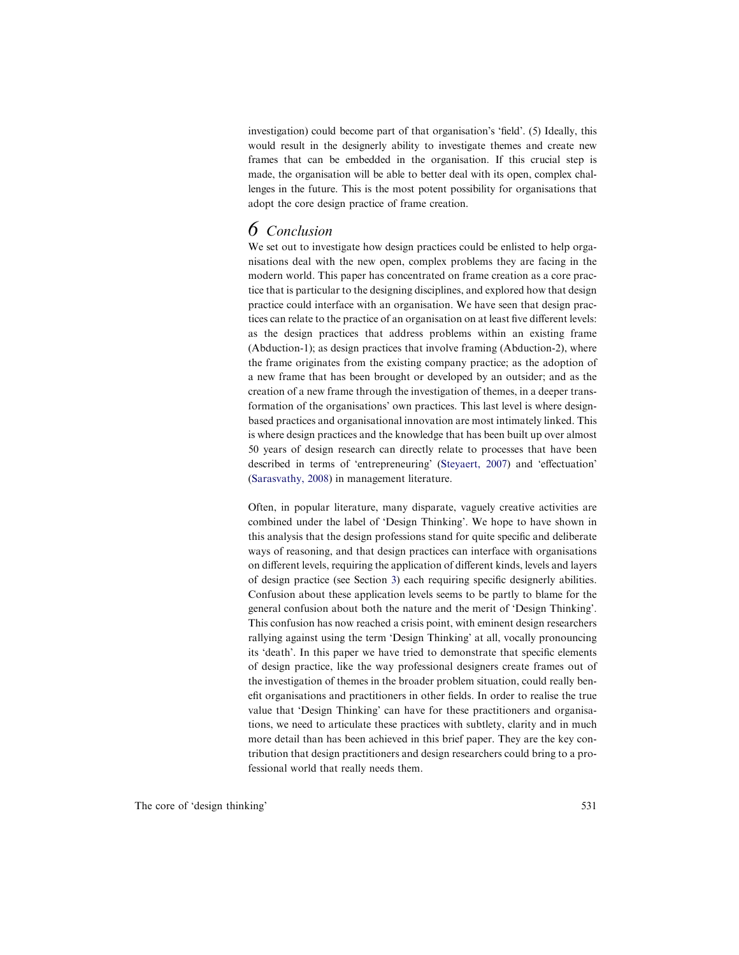investigation) could become part of that organisation's 'field'. (5) Ideally, this would result in the designerly ability to investigate themes and create new frames that can be embedded in the organisation. If this crucial step is made, the organisation will be able to better deal with its open, complex challenges in the future. This is the most potent possibility for organisations that adopt the core design practice of frame creation.

# 6 Conclusion

We set out to investigate how design practices could be enlisted to help organisations deal with the new open, complex problems they are facing in the modern world. This paper has concentrated on frame creation as a core practice that is particular to the designing disciplines, and explored how that design practice could interface with an organisation. We have seen that design practices can relate to the practice of an organisation on at least five different levels: as the design practices that address problems within an existing frame (Abduction-1); as design practices that involve framing (Abduction-2), where the frame originates from the existing company practice; as the adoption of a new frame that has been brought or developed by an outsider; and as the creation of a new frame through the investigation of themes, in a deeper transformation of the organisations' own practices. This last level is where designbased practices and organisational innovation are most intimately linked. This is where design practices and the knowledge that has been built up over almost 50 years of design research can directly relate to processes that have been described in terms of 'entrepreneuring' (Steyaert, 2007) and 'effectuation' (Sarasvathy, 2008) in management literature.

Often, in popular literature, many disparate, vaguely creative activities are combined under the label of 'Design Thinking'. We hope to have shown in this analysis that the design professions stand for quite specific and deliberate ways of reasoning, and that design practices can interface with organisations on different levels, requiring the application of different kinds, levels and layers of design practice (see Section 3) each requiring specific designerly abilities. Confusion about these application levels seems to be partly to blame for the general confusion about both the nature and the merit of 'Design Thinking'. This confusion has now reached a crisis point, with eminent design researchers rallying against using the term 'Design Thinking' at all, vocally pronouncing its 'death'. In this paper we have tried to demonstrate that specific elements of design practice, like the way professional designers create frames out of the investigation of themes in the broader problem situation, could really benefit organisations and practitioners in other fields. In order to realise the true value that 'Design Thinking' can have for these practitioners and organisations, we need to articulate these practices with subtlety, clarity and in much more detail than has been achieved in this brief paper. They are the key contribution that design practitioners and design researchers could bring to a professional world that really needs them.